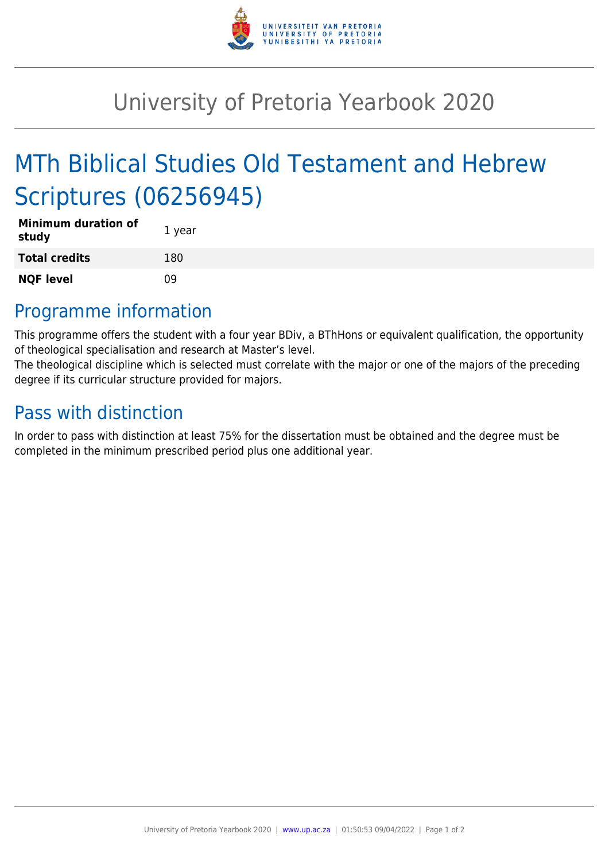

## University of Pretoria Yearbook 2020

# MTh Biblical Studies Old Testament and Hebrew Scriptures (06256945)

| <b>Minimum duration of</b><br>study | 1 year |
|-------------------------------------|--------|
| <b>Total credits</b>                | 180    |
| <b>NQF level</b>                    | nq     |

### Programme information

This programme offers the student with a four year BDiv, a BThHons or equivalent qualification, the opportunity of theological specialisation and research at Master's level.

The theological discipline which is selected must correlate with the major or one of the majors of the preceding degree if its curricular structure provided for majors.

### Pass with distinction

In order to pass with distinction at least 75% for the dissertation must be obtained and the degree must be completed in the minimum prescribed period plus one additional year.